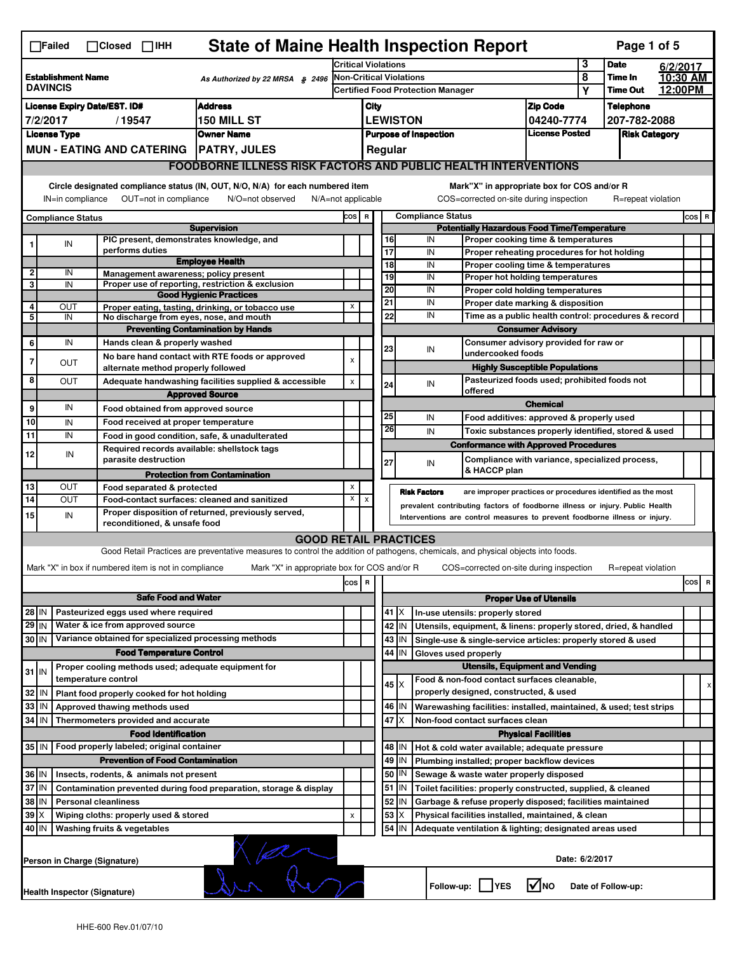|             | $\Box$ Failed                                | $\Box$ Closed $\Box$ IHH                                            | <b>State of Maine Health Inspection Report</b>                                                                                    |                            |              |                       |                         |                                                                                                                                                            |                                                                       |                | Page 1 of 5                                                 |                     |       |   |
|-------------|----------------------------------------------|---------------------------------------------------------------------|-----------------------------------------------------------------------------------------------------------------------------------|----------------------------|--------------|-----------------------|-------------------------|------------------------------------------------------------------------------------------------------------------------------------------------------------|-----------------------------------------------------------------------|----------------|-------------------------------------------------------------|---------------------|-------|---|
|             |                                              |                                                                     |                                                                                                                                   | <b>Critical Violations</b> |              |                       |                         |                                                                                                                                                            |                                                                       | 3              | <b>Date</b>                                                 | 6/2/2017            |       |   |
|             | <b>Establishment Name</b><br><b>DAVINCIS</b> |                                                                     | As Authorized by 22 MRSA $$$ 2496                                                                                                 |                            |              |                       | Non-Critical Violations | <b>Certified Food Protection Manager</b>                                                                                                                   |                                                                       | 8              | Time In<br><b>Time Out</b>                                  | 10:30 AM<br>12:00PM |       |   |
|             |                                              |                                                                     |                                                                                                                                   |                            |              |                       |                         |                                                                                                                                                            |                                                                       | Υ              |                                                             |                     |       |   |
|             |                                              | <b>License Expiry Date/EST. ID#</b>                                 | <b>Address</b>                                                                                                                    |                            | City         |                       |                         |                                                                                                                                                            | <b>Zip Code</b>                                                       |                | <b>Telephone</b>                                            |                     |       |   |
|             | 7/2/2017                                     | /19547                                                              | 150 MILL ST<br><b>Owner Name</b>                                                                                                  |                            |              |                       | <b>LEWISTON</b>         |                                                                                                                                                            | 04240-7774<br><b>License Posted</b>                                   |                | 207-782-2088                                                |                     |       |   |
|             | <b>License Type</b>                          | <b>MUN - EATING AND CATERING</b>                                    | <b>PATRY, JULES</b>                                                                                                               |                            |              |                       |                         | <b>Purpose of Inspection</b>                                                                                                                               |                                                                       |                | <b>Risk Category</b>                                        |                     |       |   |
|             |                                              |                                                                     | <b>FOODBORNE ILLNESS RISK FACTORS AND PUBLIC HEALTH INTERVENTIONS</b>                                                             |                            |              |                       | Regular                 |                                                                                                                                                            |                                                                       |                |                                                             |                     |       |   |
|             |                                              |                                                                     |                                                                                                                                   |                            |              |                       |                         |                                                                                                                                                            |                                                                       |                |                                                             |                     |       |   |
|             | IN=in compliance                             | OUT=not in compliance                                               | Circle designated compliance status (IN, OUT, N/O, N/A) for each numbered item<br>N/A=not applicable<br>N/O=not observed          |                            |              |                       |                         | Mark"X" in appropriate box for COS and/or R<br>COS=corrected on-site during inspection                                                                     |                                                                       |                | R=repeat violation                                          |                     |       |   |
|             | <b>Compliance Status</b>                     |                                                                     |                                                                                                                                   | COS R                      |              |                       |                         | <b>Compliance Status</b>                                                                                                                                   |                                                                       |                |                                                             |                     | COS R |   |
|             |                                              |                                                                     | <b>Supervision</b>                                                                                                                |                            |              |                       |                         | <b>Potentially Hazardous Food Time/Temperature</b>                                                                                                         |                                                                       |                |                                                             |                     |       |   |
|             | IN                                           | PIC present, demonstrates knowledge, and                            |                                                                                                                                   |                            |              | 16                    |                         | IN                                                                                                                                                         | Proper cooking time & temperatures                                    |                |                                                             |                     |       |   |
|             |                                              | performs duties                                                     | <b>Employee Health</b>                                                                                                            |                            |              | 17                    |                         | IN                                                                                                                                                         | Proper reheating procedures for hot holding                           |                |                                                             |                     |       |   |
| $\mathbf 2$ | IN                                           | Management awareness; policy present                                |                                                                                                                                   |                            |              | $\overline{18}$<br>19 |                         | IN<br>IN                                                                                                                                                   | Proper cooling time & temperatures                                    |                |                                                             |                     |       |   |
| 3           | IN                                           |                                                                     | Proper use of reporting, restriction & exclusion                                                                                  |                            |              | 20                    |                         | IN                                                                                                                                                         | Proper hot holding temperatures                                       |                |                                                             |                     |       |   |
|             |                                              |                                                                     | <b>Good Hygienic Practices</b>                                                                                                    |                            |              | 21                    |                         | IN                                                                                                                                                         | Proper cold holding temperatures<br>Proper date marking & disposition |                |                                                             |                     |       |   |
| 4<br>5      | OUT<br>IN                                    | No discharge from eyes, nose, and mouth                             | Proper eating, tasting, drinking, or tobacco use                                                                                  | х                          |              | 22                    |                         | IN                                                                                                                                                         |                                                                       |                | Time as a public health control: procedures & record        |                     |       |   |
|             |                                              |                                                                     | <b>Preventing Contamination by Hands</b>                                                                                          |                            |              |                       |                         |                                                                                                                                                            | <b>Consumer Advisory</b>                                              |                |                                                             |                     |       |   |
| 6           | IN                                           | Hands clean & properly washed                                       |                                                                                                                                   |                            |              |                       |                         |                                                                                                                                                            | Consumer advisory provided for raw or                                 |                |                                                             |                     |       |   |
|             |                                              |                                                                     | No bare hand contact with RTE foods or approved                                                                                   |                            |              | 23                    |                         | IN<br>undercooked foods                                                                                                                                    |                                                                       |                |                                                             |                     |       |   |
| 7           | <b>OUT</b>                                   | alternate method properly followed                                  |                                                                                                                                   | $\pmb{\times}$             |              |                       |                         |                                                                                                                                                            | <b>Highly Susceptible Populations</b>                                 |                |                                                             |                     |       |   |
| 8           | OUT                                          |                                                                     | Adequate handwashing facilities supplied & accessible                                                                             | X                          |              | 24                    |                         | IN                                                                                                                                                         | Pasteurized foods used; prohibited foods not                          |                |                                                             |                     |       |   |
|             |                                              |                                                                     | <b>Approved Source</b>                                                                                                            |                            |              |                       |                         | offered                                                                                                                                                    | <b>Chemical</b>                                                       |                |                                                             |                     |       |   |
| 9           | IN                                           | Food obtained from approved source                                  |                                                                                                                                   |                            |              | 25                    |                         | IN                                                                                                                                                         | Food additives: approved & properly used                              |                |                                                             |                     |       |   |
| 10          | IN                                           | Food received at proper temperature                                 |                                                                                                                                   |                            |              | 26                    |                         | IN                                                                                                                                                         |                                                                       |                | Toxic substances properly identified, stored & used         |                     |       |   |
| 11          | IN                                           |                                                                     | Food in good condition, safe, & unadulterated                                                                                     |                            |              |                       |                         | <b>Conformance with Approved Procedures</b>                                                                                                                |                                                                       |                |                                                             |                     |       |   |
| 12          | IN                                           | Required records available: shellstock tags<br>parasite destruction |                                                                                                                                   |                            |              |                       |                         |                                                                                                                                                            |                                                                       |                | Compliance with variance, specialized process,              |                     |       |   |
|             |                                              |                                                                     | <b>Protection from Contamination</b>                                                                                              |                            |              | 27                    |                         | IN<br>& HACCP plan                                                                                                                                         |                                                                       |                |                                                             |                     |       |   |
| 13          | <b>OUT</b>                                   | Food separated & protected                                          |                                                                                                                                   | X                          |              |                       |                         |                                                                                                                                                            |                                                                       |                |                                                             |                     |       |   |
| 14          | OUT                                          |                                                                     | Food-contact surfaces: cleaned and sanitized                                                                                      | X                          | $\pmb{\chi}$ |                       | <b>Risk Factors</b>     |                                                                                                                                                            |                                                                       |                | are improper practices or procedures identified as the most |                     |       |   |
| 15          | IN                                           |                                                                     | Proper disposition of returned, previously served,                                                                                |                            |              |                       |                         | prevalent contributing factors of foodborne illness or injury. Public Health<br>Interventions are control measures to prevent foodborne illness or injury. |                                                                       |                |                                                             |                     |       |   |
|             |                                              | reconditioned, & unsafe food                                        |                                                                                                                                   |                            |              |                       |                         |                                                                                                                                                            |                                                                       |                |                                                             |                     |       |   |
|             |                                              |                                                                     | <b>GOOD RETAIL PRACTICES</b>                                                                                                      |                            |              |                       |                         |                                                                                                                                                            |                                                                       |                |                                                             |                     |       |   |
|             |                                              |                                                                     | Good Retail Practices are preventative measures to control the addition of pathogens, chemicals, and physical objects into foods. |                            |              |                       |                         |                                                                                                                                                            |                                                                       |                |                                                             |                     |       |   |
|             |                                              | Mark "X" in box if numbered item is not in compliance               | Mark "X" in appropriate box for COS and/or R                                                                                      |                            |              |                       |                         | COS=corrected on-site during inspection                                                                                                                    |                                                                       |                | R=repeat violation                                          |                     |       |   |
|             |                                              |                                                                     |                                                                                                                                   | cos                        | R            |                       |                         |                                                                                                                                                            |                                                                       |                |                                                             |                     | cos   | R |
|             |                                              | <b>Safe Food and Water</b>                                          |                                                                                                                                   |                            |              |                       |                         |                                                                                                                                                            | <b>Proper Use of Utensils</b>                                         |                |                                                             |                     |       |   |
| 28 IN       |                                              | Pasteurized eggs used where required                                |                                                                                                                                   |                            |              |                       | 41   X                  | In-use utensils: properly stored                                                                                                                           |                                                                       |                |                                                             |                     |       |   |
| 29 IN       |                                              | Water & ice from approved source                                    |                                                                                                                                   |                            |              |                       | 42 IN                   | Utensils, equipment, & linens: properly stored, dried, & handled                                                                                           |                                                                       |                |                                                             |                     |       |   |
| $30$ IN     |                                              | Variance obtained for specialized processing methods                |                                                                                                                                   |                            |              |                       | 43 IN                   | Single-use & single-service articles: properly stored & used                                                                                               |                                                                       |                |                                                             |                     |       |   |
|             |                                              | <b>Food Temperature Control</b>                                     |                                                                                                                                   |                            |              |                       | 44<br>IN                | Gloves used properly                                                                                                                                       |                                                                       |                |                                                             |                     |       |   |
| $31$ IN     |                                              | Proper cooling methods used; adequate equipment for                 |                                                                                                                                   |                            |              |                       |                         |                                                                                                                                                            | <b>Utensils, Equipment and Vending</b>                                |                |                                                             |                     |       |   |
|             |                                              | temperature control                                                 |                                                                                                                                   |                            |              |                       | 45   X                  | Food & non-food contact surfaces cleanable.                                                                                                                |                                                                       |                |                                                             |                     |       | х |
| 32          | IN                                           | Plant food properly cooked for hot holding                          |                                                                                                                                   |                            |              |                       |                         | properly designed, constructed, & used                                                                                                                     |                                                                       |                |                                                             |                     |       |   |
| 33          | IN                                           | Approved thawing methods used                                       |                                                                                                                                   |                            |              |                       | 46 IN                   | Warewashing facilities: installed, maintained, & used; test strips                                                                                         |                                                                       |                |                                                             |                     |       |   |
| 34          | IN                                           | Thermometers provided and accurate                                  |                                                                                                                                   |                            |              | 47                    | ΙX                      | Non-food contact surfaces clean                                                                                                                            |                                                                       |                |                                                             |                     |       |   |
|             |                                              | <b>Food Identification</b>                                          |                                                                                                                                   |                            |              |                       |                         |                                                                                                                                                            | <b>Physical Facilities</b>                                            |                |                                                             |                     |       |   |
| $35$ IN     |                                              | Food properly labeled; original container                           |                                                                                                                                   |                            |              |                       | 48   IN                 | Hot & cold water available; adequate pressure                                                                                                              |                                                                       |                |                                                             |                     |       |   |
|             |                                              | <b>Prevention of Food Contamination</b>                             |                                                                                                                                   |                            |              |                       | 49 IN                   | Plumbing installed; proper backflow devices                                                                                                                |                                                                       |                |                                                             |                     |       |   |
| 36 IN       |                                              | Insects, rodents, & animals not present                             |                                                                                                                                   |                            |              |                       | 50   IN                 | Sewage & waste water properly disposed                                                                                                                     |                                                                       |                |                                                             |                     |       |   |
| 37          | ΙM                                           |                                                                     | Contamination prevented during food preparation, storage & display                                                                |                            |              | 51                    | IN                      | Toilet facilities: properly constructed, supplied, & cleaned                                                                                               |                                                                       |                |                                                             |                     |       |   |
| 38          | IN                                           | <b>Personal cleanliness</b>                                         |                                                                                                                                   |                            |              |                       | 52 IN                   | Garbage & refuse properly disposed; facilities maintained                                                                                                  |                                                                       |                |                                                             |                     |       |   |
| 39          |                                              | Wiping cloths: properly used & stored                               |                                                                                                                                   | х                          |              | 53                    | X                       | Physical facilities installed, maintained, & clean                                                                                                         |                                                                       |                |                                                             |                     |       |   |
| 40 IN       |                                              | Washing fruits & vegetables                                         |                                                                                                                                   |                            |              |                       | 54 J IN                 | Adequate ventilation & lighting; designated areas used                                                                                                     |                                                                       |                |                                                             |                     |       |   |
|             |                                              | Person in Charge (Signature)                                        | $\sqrt{2}$                                                                                                                        |                            |              |                       |                         |                                                                                                                                                            |                                                                       | Date: 6/2/2017 |                                                             |                     |       |   |
|             |                                              | Health Inspector (Signature)                                        |                                                                                                                                   |                            |              |                       |                         | Follow-up:     YES                                                                                                                                         | $\sqrt{\ }$ NO                                                        |                | Date of Follow-up:                                          |                     |       |   |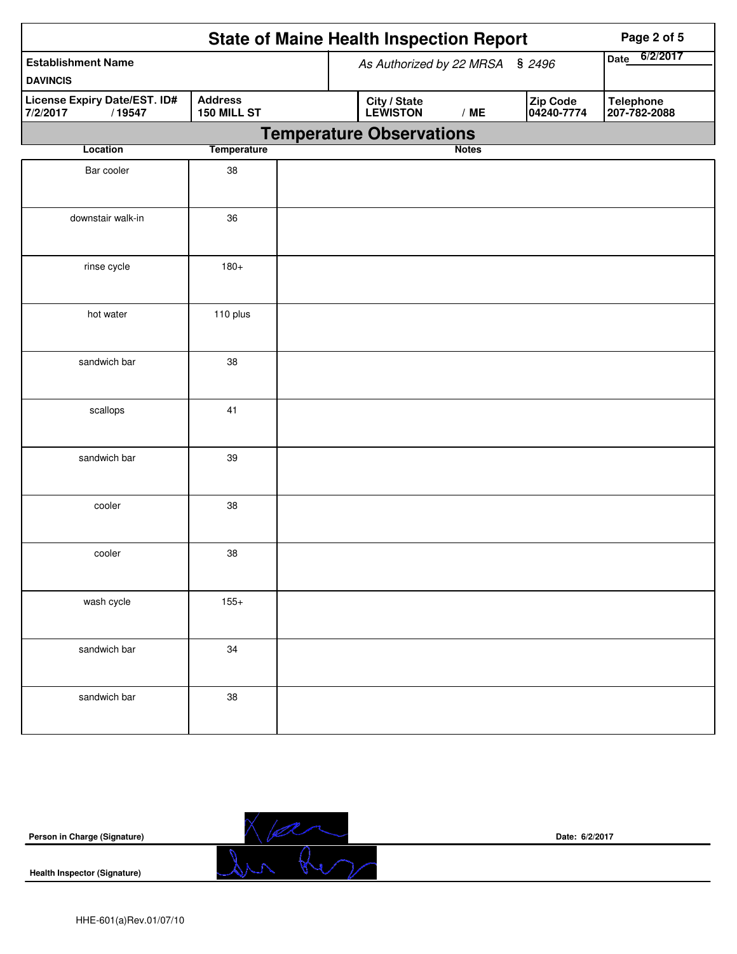|                                                    |                               |  | <b>State of Maine Health Inspection Report</b> |              |                         |             | Page 2 of 5                      |
|----------------------------------------------------|-------------------------------|--|------------------------------------------------|--------------|-------------------------|-------------|----------------------------------|
| <b>Establishment Name</b>                          |                               |  | As Authorized by 22 MRSA § 2496                |              |                         | <b>Date</b> | 6/2/2017                         |
| <b>DAVINCIS</b>                                    |                               |  |                                                |              |                         |             |                                  |
| License Expiry Date/EST. ID#<br>7/2/2017<br>/19547 | <b>Address</b><br>150 MILL ST |  | City / State<br>LEWISTON                       | /ME          | Zip Code<br> 04240-7774 |             | <b>Telephone</b><br>207-782-2088 |
|                                                    |                               |  | <b>Temperature Observations</b>                |              |                         |             |                                  |
| Location                                           | <b>Temperature</b>            |  |                                                | <b>Notes</b> |                         |             |                                  |
| Bar cooler                                         | 38                            |  |                                                |              |                         |             |                                  |
| downstair walk-in                                  | 36                            |  |                                                |              |                         |             |                                  |
| rinse cycle                                        | $180+$                        |  |                                                |              |                         |             |                                  |
| hot water                                          | 110 plus                      |  |                                                |              |                         |             |                                  |
| sandwich bar                                       | 38                            |  |                                                |              |                         |             |                                  |
| scallops                                           | 41                            |  |                                                |              |                         |             |                                  |
| sandwich bar                                       | 39                            |  |                                                |              |                         |             |                                  |
| cooler                                             | 38                            |  |                                                |              |                         |             |                                  |
| cooler                                             | 38                            |  |                                                |              |                         |             |                                  |
| wash cycle                                         | $155+$                        |  |                                                |              |                         |             |                                  |
| sandwich bar                                       | 34                            |  |                                                |              |                         |             |                                  |
| sandwich bar                                       | 38                            |  |                                                |              |                         |             |                                  |

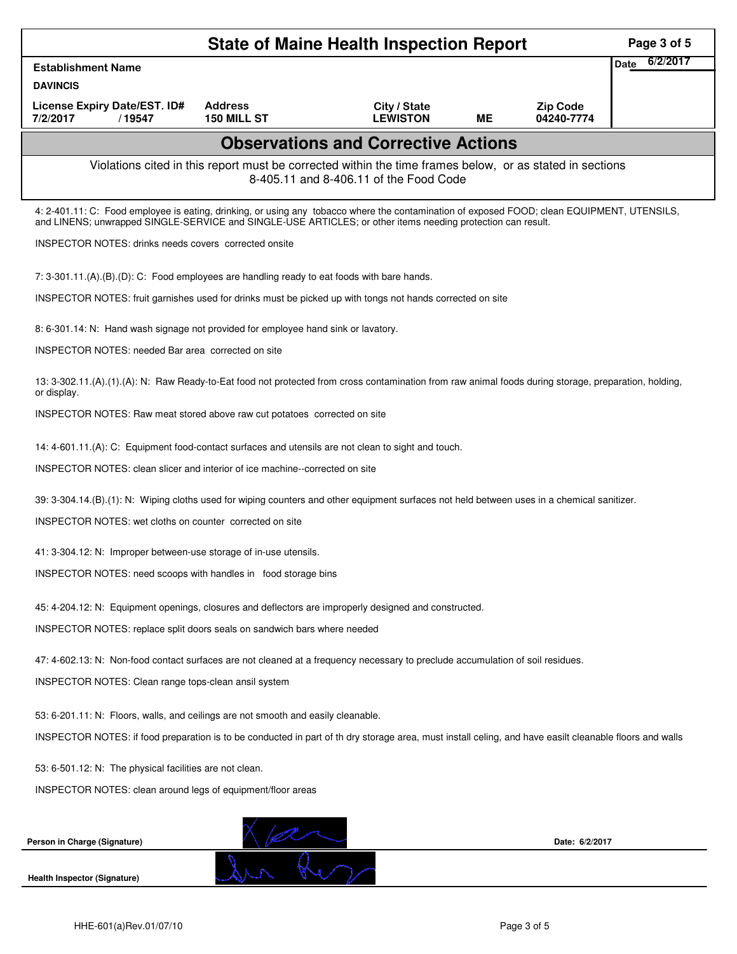|                                                                                                                                                                                                                                                            |                                      | <b>State of Maine Health Inspection Report</b>                                                                                                     |    |                               | Page 3 of 5             |
|------------------------------------------------------------------------------------------------------------------------------------------------------------------------------------------------------------------------------------------------------------|--------------------------------------|----------------------------------------------------------------------------------------------------------------------------------------------------|----|-------------------------------|-------------------------|
| <b>Establishment Name</b>                                                                                                                                                                                                                                  |                                      |                                                                                                                                                    |    |                               | 6/2/2017<br><b>Date</b> |
| <b>DAVINCIS</b>                                                                                                                                                                                                                                            |                                      |                                                                                                                                                    |    |                               |                         |
| License Expiry Date/EST. ID#<br>7/2/2017<br>/19547                                                                                                                                                                                                         | <b>Address</b><br><b>150 MILL ST</b> | City / State<br><b>LEWISTON</b>                                                                                                                    | MЕ | <b>Zip Code</b><br>04240-7774 |                         |
|                                                                                                                                                                                                                                                            |                                      | <b>Observations and Corrective Actions</b>                                                                                                         |    |                               |                         |
|                                                                                                                                                                                                                                                            |                                      | Violations cited in this report must be corrected within the time frames below, or as stated in sections<br>8-405.11 and 8-406.11 of the Food Code |    |                               |                         |
| 4: 2-401.11: C: Food employee is eating, drinking, or using any tobacco where the contamination of exposed FOOD; clean EQUIPMENT, UTENSILS,<br>and LINENS; unwrapped SINGLE-SERVICE and SINGLE-USE ARTICLES; or other items needing protection can result. |                                      |                                                                                                                                                    |    |                               |                         |
| <b>INSPECTOR NOTES: drinks needs covers corrected onsite</b>                                                                                                                                                                                               |                                      |                                                                                                                                                    |    |                               |                         |
| 7: 3-301.11.(A).(B).(D): C: Food employees are handling ready to eat foods with bare hands.                                                                                                                                                                |                                      |                                                                                                                                                    |    |                               |                         |
| INSPECTOR NOTES: fruit garnishes used for drinks must be picked up with tongs not hands corrected on site                                                                                                                                                  |                                      |                                                                                                                                                    |    |                               |                         |
| 8: 6-301.14: N: Hand wash signage not provided for employee hand sink or lavatory.                                                                                                                                                                         |                                      |                                                                                                                                                    |    |                               |                         |
| INSPECTOR NOTES: needed Bar area corrected on site                                                                                                                                                                                                         |                                      |                                                                                                                                                    |    |                               |                         |
| 13: 3-302.11.(A).(1).(A): N: Raw Ready-to-Eat food not protected from cross contamination from raw animal foods during storage, preparation, holding,<br>or display.                                                                                       |                                      |                                                                                                                                                    |    |                               |                         |
| INSPECTOR NOTES: Raw meat stored above raw cut potatoes corrected on site                                                                                                                                                                                  |                                      |                                                                                                                                                    |    |                               |                         |
| 14: 4-601.11.(A): C: Equipment food-contact surfaces and utensils are not clean to sight and touch.                                                                                                                                                        |                                      |                                                                                                                                                    |    |                               |                         |
| INSPECTOR NOTES: clean slicer and interior of ice machine--corrected on site                                                                                                                                                                               |                                      |                                                                                                                                                    |    |                               |                         |
| 39: 3-304.14.(B).(1): N: Wiping cloths used for wiping counters and other equipment surfaces not held between uses in a chemical sanitizer.                                                                                                                |                                      |                                                                                                                                                    |    |                               |                         |
| INSPECTOR NOTES: wet cloths on counter corrected on site                                                                                                                                                                                                   |                                      |                                                                                                                                                    |    |                               |                         |
| 41: 3-304.12: N: Improper between-use storage of in-use utensils.                                                                                                                                                                                          |                                      |                                                                                                                                                    |    |                               |                         |
| INSPECTOR NOTES: need scoops with handles in food storage bins                                                                                                                                                                                             |                                      |                                                                                                                                                    |    |                               |                         |
| 45: 4-204.12: N: Equipment openings, closures and deflectors are improperly designed and constructed.                                                                                                                                                      |                                      |                                                                                                                                                    |    |                               |                         |
| INSPECTOR NOTES: replace split doors seals on sandwich bars where needed                                                                                                                                                                                   |                                      |                                                                                                                                                    |    |                               |                         |
| 47: 4-602.13: N: Non-food contact surfaces are not cleaned at a frequency necessary to preclude accumulation of soil residues.                                                                                                                             |                                      |                                                                                                                                                    |    |                               |                         |
| INSPECTOR NOTES: Clean range tops-clean ansil system                                                                                                                                                                                                       |                                      |                                                                                                                                                    |    |                               |                         |
| 53: 6-201.11: N: Floors, walls, and ceilings are not smooth and easily cleanable.                                                                                                                                                                          |                                      |                                                                                                                                                    |    |                               |                         |
| INSPECTOR NOTES: if food preparation is to be conducted in part of th dry storage area, must install celing, and have easilt cleanable floors and walls                                                                                                    |                                      |                                                                                                                                                    |    |                               |                         |
| 53: 6-501.12: N: The physical facilities are not clean.                                                                                                                                                                                                    |                                      |                                                                                                                                                    |    |                               |                         |
| INSPECTOR NOTES: clean around legs of equipment/floor areas                                                                                                                                                                                                |                                      |                                                                                                                                                    |    |                               |                         |
|                                                                                                                                                                                                                                                            |                                      |                                                                                                                                                    |    |                               |                         |
| Person in Charge (Signature)                                                                                                                                                                                                                               |                                      |                                                                                                                                                    |    | Date: 6/2/2017                |                         |
| <b>Health Inspector (Signature)</b>                                                                                                                                                                                                                        |                                      |                                                                                                                                                    |    |                               |                         |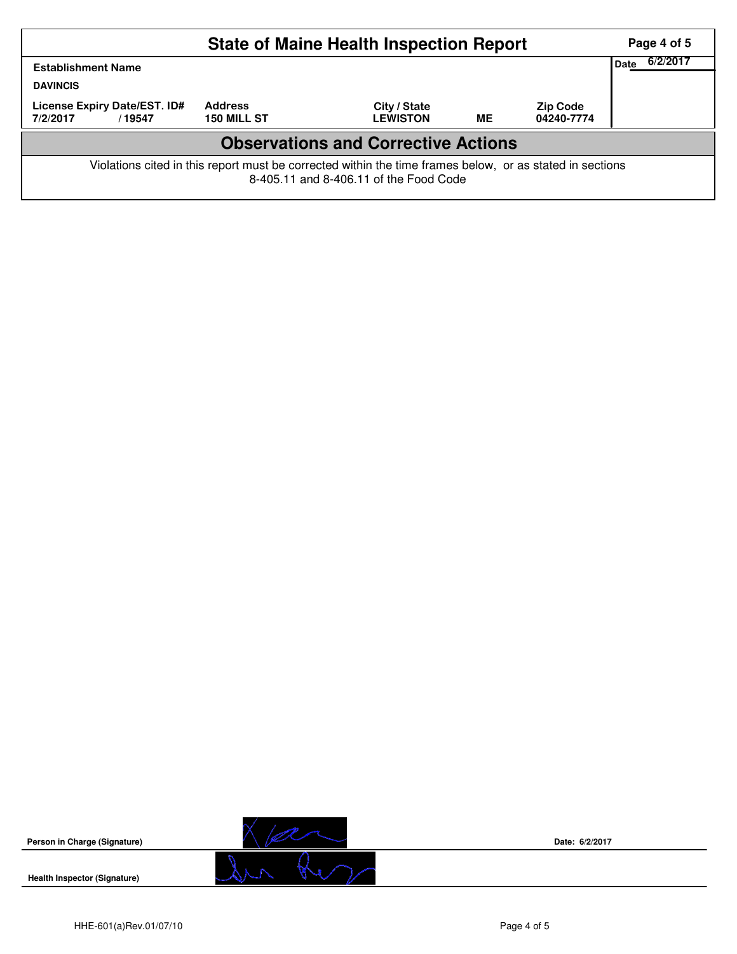|                                                    |                                                                                                          | <b>State of Maine Health Inspection Report</b> |           |                               | Page 4 of 5      |
|----------------------------------------------------|----------------------------------------------------------------------------------------------------------|------------------------------------------------|-----------|-------------------------------|------------------|
| <b>Establishment Name</b><br><b>DAVINCIS</b>       |                                                                                                          |                                                |           |                               | 6/2/2017<br>Date |
| License Expiry Date/EST. ID#<br>7/2/2017<br>/19547 | <b>Address</b><br>150 MILL ST                                                                            | City / State<br><b>LEWISTON</b>                | <b>ME</b> | <b>Zip Code</b><br>04240-7774 |                  |
|                                                    |                                                                                                          | <b>Observations and Corrective Actions</b>     |           |                               |                  |
|                                                    | Violations cited in this report must be corrected within the time frames below, or as stated in sections | 8-405.11 and 8-406.11 of the Food Code         |           |                               |                  |



**Date: 6/2/2017**

**Health Inspector (Signature)**